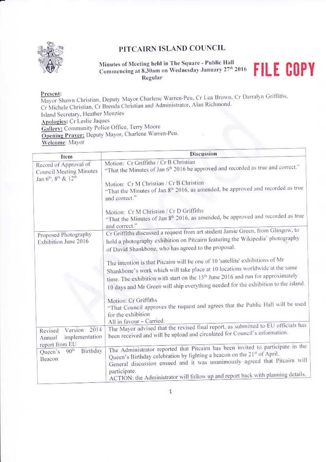

### PITCAIRN ISLAND COUNCIL

Minutes of Meeting held in The Square - Public Hall Commencing at 8.30am on Wednesday January 27th 2016 Regular

# **FILE COPY**

#### Present:

Mayor Shawn Christian, Deputy Mayor Charlene Warren-Peu, Cr Lea Brown, Cr Darralyn Griffiths, Cr Michele Christian, Cr Brenda Christian and Administrator, Alan Richmond. Island Secretary, Heather Menzies Apologies: Cr Leslie Jaques Gallery: Community Police Office, Terry Moore Opening Prayer: Deputy Mayor, Charlene Warren-Peu. Welcome: Mayor

| Item                                                                                                         | <b>Discussion</b>                                                                                                                                                                                                                                                                                                                                                                                                                          |
|--------------------------------------------------------------------------------------------------------------|--------------------------------------------------------------------------------------------------------------------------------------------------------------------------------------------------------------------------------------------------------------------------------------------------------------------------------------------------------------------------------------------------------------------------------------------|
| Record of Approval of<br>Council Meeting Minutes<br>Jan 6 <sup>th</sup> , 8 <sup>th</sup> & 12 <sup>th</sup> | Motion: Cr Griffiths / Cr B Christian<br>"That the Minutes of Jan 6 <sup>th</sup> 2016 be approved and recorded as true and correct."<br>Motion: Cr M Christian / Cr B Christian<br>"That the Minutes of Jan 8 <sup>th</sup> 2016, as amended, be approved and recorded as true<br>and correct."<br>Motion: Cr M Christian / Cr D Griffiths<br>"That the Minutes of Jan 8 <sup>th</sup> 2016, as amended, be approved and recorded as true |
| Proposed Photography<br>Exhibition June 2016                                                                 | and correct."<br>Cr Griffiths discussed a request from art student Jamie Green, from Glasgow, to<br>hold a photography exhibition on Pitcairn featuring the Wikipedia' photography<br>of David Shankbone, who has agreed to the proposal.                                                                                                                                                                                                  |
|                                                                                                              | The intention is that Pitcairn will be one of 10 'satellite' exhibitions of Mr<br>Shankbone's work which will take place at 10 locations worldwide at the same<br>time. The exhibition with start on the 15 <sup>th</sup> June 2016 and run for approximately<br>10 days and Mr Green will ship everything needed for the exhibition to the island.                                                                                        |
|                                                                                                              | Motion: Cr Griffiths<br>"That Council approves the request and agrees that the Public Hall will be used<br>for the exhibition<br>All in favour - Carried.                                                                                                                                                                                                                                                                                  |
| 2014<br>Version<br>Revised<br>implementation<br>Annual<br>report from EU                                     | The Mayor advised that the revised final report, as submitted to EU officials has<br>been received and will be upload and circulated for Council's information.                                                                                                                                                                                                                                                                            |
| Birthday<br>90 <sup>th</sup><br>Queen's<br><b>Beacon</b>                                                     | The Administrator reported that Pitcairn has been invited to participate in the<br>Queen's Birthday celebration by lighting a beacon on the 21st of April.<br>General discussion ensued and it was unanimously agreed that Pitcairn will<br>participate.<br>ACTION: the Administrator will follow up and report back with planning details.                                                                                                |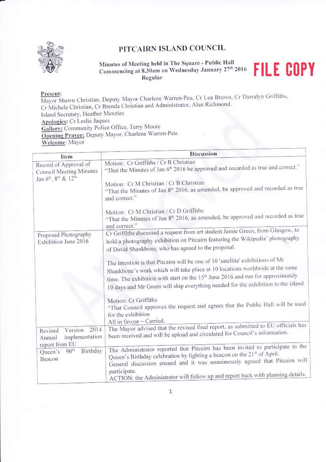

### PITCAIRN ISLAND COUNCIL

Minutes of Meeting held in The Square - Public Hall Commencing at 8.30am on Wednesday January 27th 2016 Regular

# **FILE COPY**

#### Present:

Mayor Shawn Christian, Deputy Mayor Charlene Warren-Peu, Cr Lea Brown, Cr Darralyn Griffiths, Cr Michele Christian, Cr Brenda Christian and Administrator, Alan Richmond. Island Secretary, Heather Menzies Apologies: Cr Leslie Jaques Gallery: Community Police Office, Terry Moore Opening Prayer: Deputy Mayor, Charlene Warren-Peu. Welcome: Mayor

| Item                                                                                                         | <b>Discussion</b>                                                                                                                                                                                                                                                                                                                                   |
|--------------------------------------------------------------------------------------------------------------|-----------------------------------------------------------------------------------------------------------------------------------------------------------------------------------------------------------------------------------------------------------------------------------------------------------------------------------------------------|
| Record of Approval of<br>Council Meeting Minutes<br>Jan 6 <sup>th</sup> , 8 <sup>th</sup> & 12 <sup>th</sup> | Motion: Cr Griffiths / Cr B Christian<br>"That the Minutes of Jan 6 <sup>th</sup> 2016 be approved and recorded as true and correct."<br>Motion: Cr M Christian / Cr B Christian<br>"That the Minutes of Jan 8 <sup>th</sup> 2016, as amended, be approved and recorded as true<br>and correct."<br>Motion: Cr M Christian / Cr D Griffiths         |
| Proposed Photography<br>Exhibition June 2016                                                                 | "That the Minutes of Jan 8 <sup>th</sup> 2016, as amended, be approved and recorded as true<br>and correct."<br>Cr Griffiths discussed a request from art student Jamie Green, from Glasgow, to<br>hold a photography exhibition on Pitcairn featuring the Wikipedia' photography<br>of David Shankbone, who has agreed to the proposal.            |
|                                                                                                              | The intention is that Pitcairn will be one of 10 'satellite' exhibitions of Mr<br>Shankbone's work which will take place at 10 locations worldwide at the same<br>time. The exhibition with start on the 15 <sup>th</sup> June 2016 and run for approximately<br>10 days and Mr Green will ship everything needed for the exhibition to the island. |
|                                                                                                              | Motion: Cr Griffiths<br>"That Council approves the request and agrees that the Public Hall will be used<br>for the exhibition<br>All in favour - Carried.                                                                                                                                                                                           |
| 2014<br>Version<br>Revised<br>implementation<br>Annual<br>report from EU                                     | The Mayor advised that the revised final report, as submitted to EU officials has<br>been received and will be upload and circulated for Council's information.                                                                                                                                                                                     |
| Birthday<br>90 <sup>th</sup><br>Queen's<br>Beacon                                                            | The Administrator reported that Pitcairn has been invited to participate in the<br>Queen's Birthday celebration by lighting a beacon on the 21st of April.<br>General discussion ensued and it was unanimously agreed that Pitcairn will<br>participate.<br>ACTION: the Administrator will follow up and report back with planning details.         |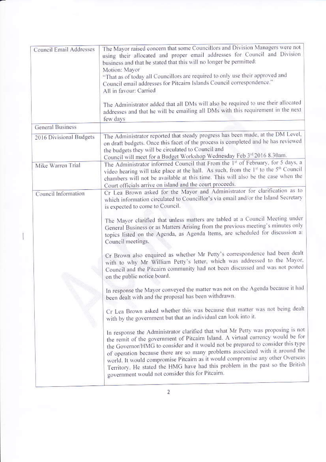| Council Email Addresses | The Mayor raised concern that some Councillors and Division Managers were not<br>using their allocated and proper email addresses for Council and Division<br>business and that he stated that this will no longer be permitted:<br>Motion: Mayor<br>"That as of today all Councillors are required to only use their approved and<br>Council email addresses for Pitcairn Islands Council correspondence."<br>All in favour: Carried<br>The Administrator added that all DMs will also be required to use their allocated<br>addresses and that he will be emailing all DMs with this requirement in the next<br>few days                                                                                                                             |
|-------------------------|--------------------------------------------------------------------------------------------------------------------------------------------------------------------------------------------------------------------------------------------------------------------------------------------------------------------------------------------------------------------------------------------------------------------------------------------------------------------------------------------------------------------------------------------------------------------------------------------------------------------------------------------------------------------------------------------------------------------------------------------------------|
| <b>General Business</b> |                                                                                                                                                                                                                                                                                                                                                                                                                                                                                                                                                                                                                                                                                                                                                        |
| 2016 Divisional Budgets | The Administrator reported that steady progress has been made, at the DM Level,<br>on draft budgets. Once this facet of the process is completed and he has reviewed<br>the budgets they will be circulated to Council and<br>Council will meet for a Budget Workshop Wednesday Feb 3rd 2016 8.30am.                                                                                                                                                                                                                                                                                                                                                                                                                                                   |
| Mike Warren Trial       | The Administrator informed Council that From the 1st of February, for 5 days, a<br>video hearing will take place at the hall. As such, from the $1st$ to the $5th$ Council<br>chambers will not be available at this time. This will also be the case when the<br>Court officials arrive on island and the court proceeds.                                                                                                                                                                                                                                                                                                                                                                                                                             |
| Council Information     | Cr Lea Brown asked for the Mayor and Administrator for clarification as to<br>which information circulated to Councillor's via email and/or the Island Secretary<br>is expected to come to Council.<br>The Mayor clarified that unless matters are tabled at a Council Meeting under<br>General Business or as Matters Arising from the previous meeting's minutes only<br>topics listed on the Agenda, as Agenda Items, are scheduled for discussion at<br>Council meetings.<br>Cr Brown also enquired as whether Mr Petty's correspondence had been dealt<br>with to why Mr William Petty's letter, which was addressed to the Mayor,<br>Council and the Pitcairn community had not been discussed and was not posted<br>on the public notice board. |
|                         | In response the Mayor conveyed the matter was not on the Agenda because it had<br>been dealt with and the proposal has been withdrawn.<br>Cr Lea Brown asked whether this was because that matter was not being dealt<br>with by the government but that an individual can look into it.                                                                                                                                                                                                                                                                                                                                                                                                                                                               |
|                         | In response the Administrator clarified that what Mr Petty was proposing is not<br>the remit of the government of Pitcairn Island. A virtual currency would be for<br>the Governor/HMG to consider and it would not be prepared to consider this type<br>of operation because there are so many problems associated with it around the<br>world. It would compromise Pitcairn as it would compromise any other Overseas<br>Territory. He stated the HMG have had this problem in the past so the British<br>government would not consider this for Pitcairn.                                                                                                                                                                                           |